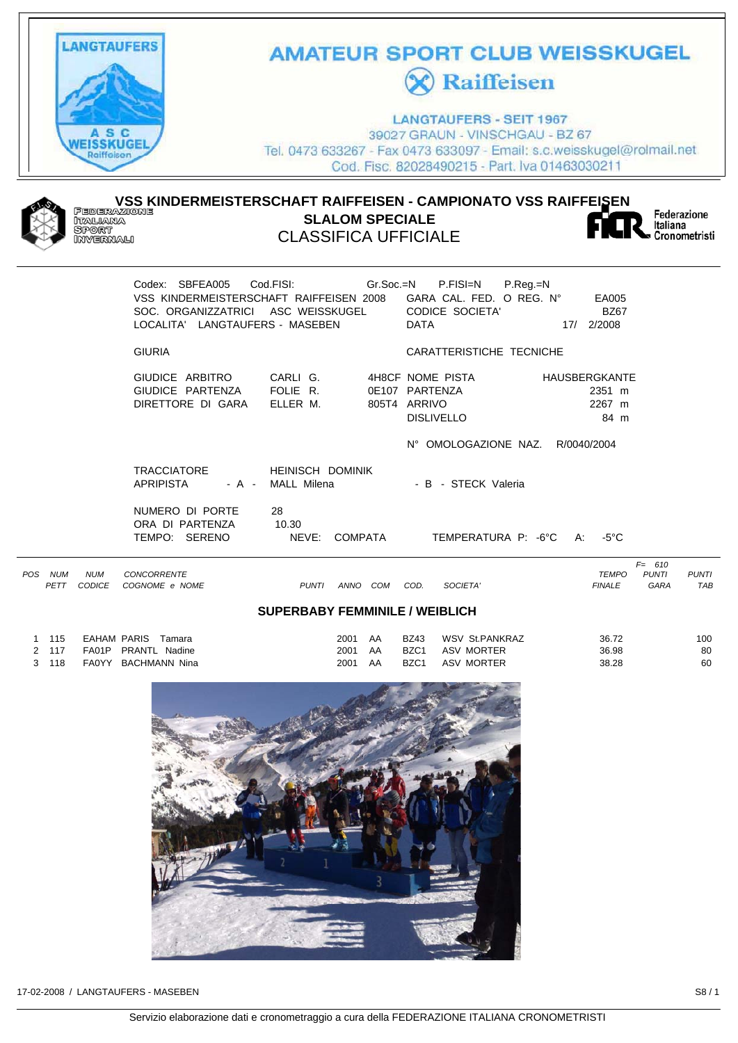

# **AMATEUR SPORT CLUB WEISSKUGEL X** Raiffeisen

**LANGTAUFERS - SEIT 1967** 39027 GRAUN - VINSCHGAU - BZ 67 Tel. 0473 633267 - Fax 0473 633097 - Email: s.c.weisskugel@rolmail.net Cod. Fisc. 82028490215 - Part. Iva 01463030211



#### **VSS KINDERMEISTERSCHAFT RAIFFEISEN - CAMPIONATO VSS RAIFFEISEN SLALOM SPECIALE** i iaskara<br>Sport<br>Invernali CLASSIFICA UFFICIALE



Federazione Italiana Cronometristi

| Codex: SBFEA005<br>VSS KINDERMEISTERSCHAFT RAIFFEISEN 2008<br>SOC. ORGANIZZATRICI ASC WEISSKUGEL<br>LOCALITA' LANGTAUFERS - MASEBEN | Cod.FISI: Gr.Soc.=N P.FISI=N              | P.Reg.=N<br>GARA CAL. FED. O REG. N°<br><b>CODICE SOCIETA'</b><br><b>DATA</b>             | EA005<br><b>BZ67</b><br>2/2008<br>17/                           |
|-------------------------------------------------------------------------------------------------------------------------------------|-------------------------------------------|-------------------------------------------------------------------------------------------|-----------------------------------------------------------------|
| <b>GIURIA</b>                                                                                                                       |                                           | CARATTERISTICHE TECNICHE                                                                  |                                                                 |
| GIUDICE ARBITRO<br>GIUDICE PARTENZA<br>DIRETTORE DI GARA                                                                            | CARLI G.<br>FOLIE R.<br>ELLER M.<br>805T4 | 4H8CF NOME PISTA<br>0E107 PARTENZA<br>ARRIVO<br><b>DISLIVELLO</b><br>N° OMOLOGAZIONE NAZ. | <b>HAUSBERGKANTE</b><br>2351 m<br>2267 m<br>84 m<br>R/0040/2004 |
| <b>TRACCIATORE</b><br><b>APRIPISTA</b><br>- A -                                                                                     | <b>HEINISCH DOMINIK</b><br>MALL Milena    | - B - STECK Valeria                                                                       |                                                                 |
| NUMERO DI PORTE<br>ORA DI PARTENZA<br>TEMPO:<br>SERENO                                                                              | 28<br>10.30<br>NEVE:<br>COMPATA           | TEMPERATURA P: -6°C                                                                       | -5°C<br>A:                                                      |
|                                                                                                                                     |                                           |                                                                                           |                                                                 |

| POS | <b>NUM</b><br>PETT                    | <b>NUM</b><br>CODICE | <b>CONCORRENTE</b><br>COGNOME e NOME | <b>PUNTI</b> | ANNO         | COM      | COD.                            | SOCIETA'                     | <b>TEMPO</b><br><b>FINALE</b> | 610<br>F=<br><b>PUNTI</b><br>GARA | <b>PUNTI</b><br>TAB |  |
|-----|---------------------------------------|----------------------|--------------------------------------|--------------|--------------|----------|---------------------------------|------------------------------|-------------------------------|-----------------------------------|---------------------|--|
|     | <b>SUPERBABY FEMMINILE / WEIBLICH</b> |                      |                                      |              |              |          |                                 |                              |                               |                                   |                     |  |
|     | 115<br>117                            | EAHAM PARIS<br>FA01P | Tamara<br>PRANTL<br>Nadine           |              | 2001<br>2001 | AA<br>AA | <b>BZ43</b><br>BZC <sub>1</sub> | WSV St.PANKRAZ<br>ASV MORTER | 36.72<br>36.98                |                                   | 100<br>80           |  |

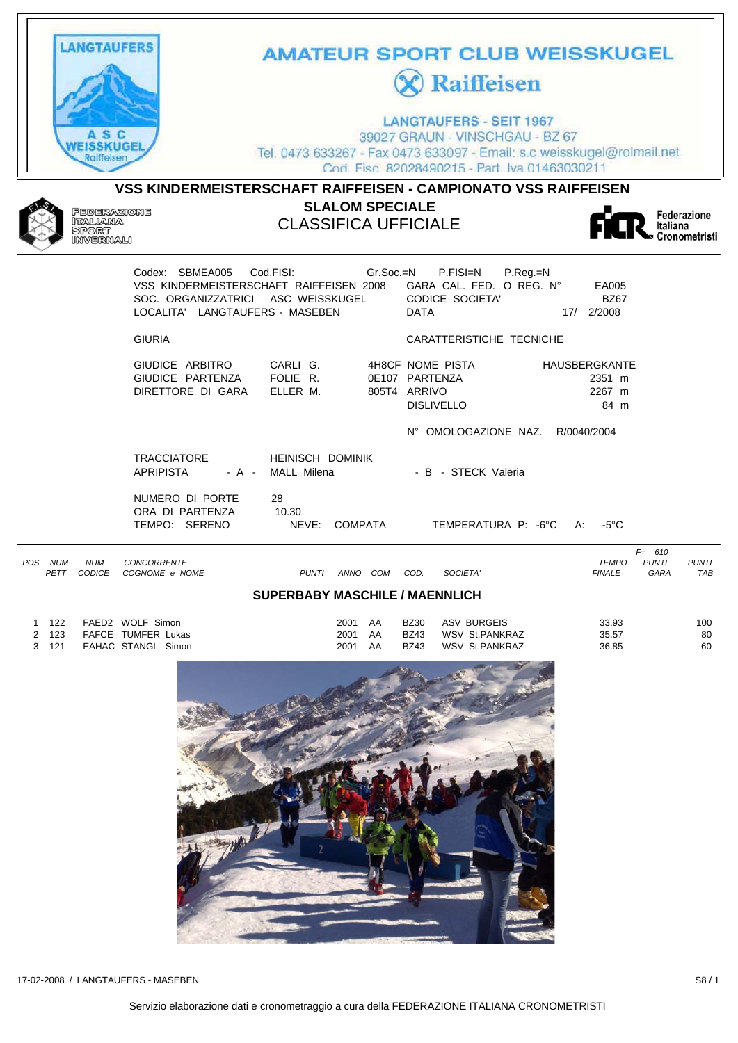

|     |            |               |                    |                                       |      |     |             |                |               | $F = 610$    |              |
|-----|------------|---------------|--------------------|---------------------------------------|------|-----|-------------|----------------|---------------|--------------|--------------|
| POS | <b>NUM</b> | <b>NUM</b>    | <b>CONCORRENTE</b> |                                       |      |     |             |                | TEMPO         | <b>PUNTI</b> | <b>PUNTI</b> |
|     | PETT       | <b>CODICE</b> | COGNOME e NOME     | <b>PUNTI</b>                          | ANNO | COM | COD.        | SOCIETA'       | <b>FINALE</b> | GARA         | <b>TAB</b>   |
|     |            |               |                    | <b>SUPERBABY MASCHILE / MAENNLICH</b> |      |     |             |                |               |              |              |
|     | 122        |               | FAED2 WOLF Simon   |                                       | 2001 | AA  | <b>BZ30</b> | ASV BURGEIS    | 33.93         |              | 100          |
|     | 123        |               | FAFCE TUMFER Lukas |                                       | 2001 | AA  | <b>BZ43</b> | WSV St.PANKRAZ | 35.57         |              | 80           |
|     | 121        |               | EAHAC STANGL Simon |                                       | 2001 | AA  | <b>BZ43</b> | WSV St.PANKRAZ | 36.85         |              | 60           |

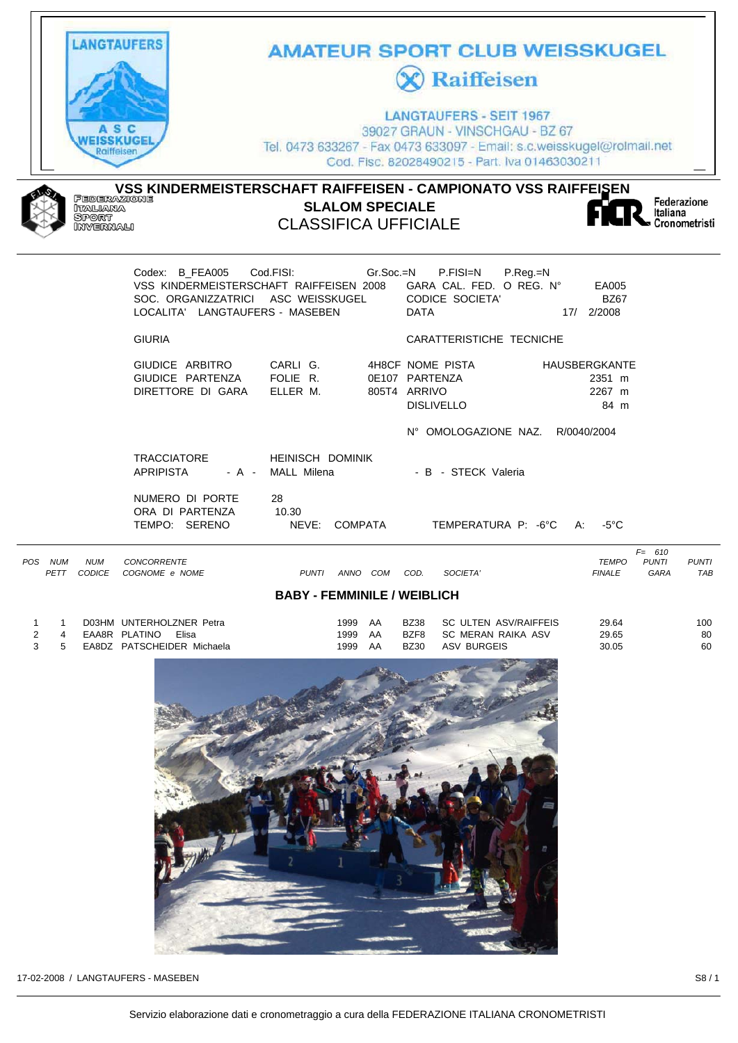

#### **BABY - FEMMINILE / WEIBLICH**

|    | D03HM UNTERHOLZNER Petra   | 1999 | - AA | BZ38        | SC ULTEN ASV/RAIFFEIS | 29.64 | 100 |
|----|----------------------------|------|------|-------------|-----------------------|-------|-----|
|    | EAA8R PLATINO<br>Elisa     | 1999 | - AA | BZF8        | SC MERAN RAIKA ASV    | 29.65 | 80  |
| -5 | EA8DZ PATSCHEIDER Michaela | 1999 | AA   | <b>BZ30</b> | ASV BURGEIS           | 30.05 | 60  |
|    |                            |      |      |             |                       |       |     |

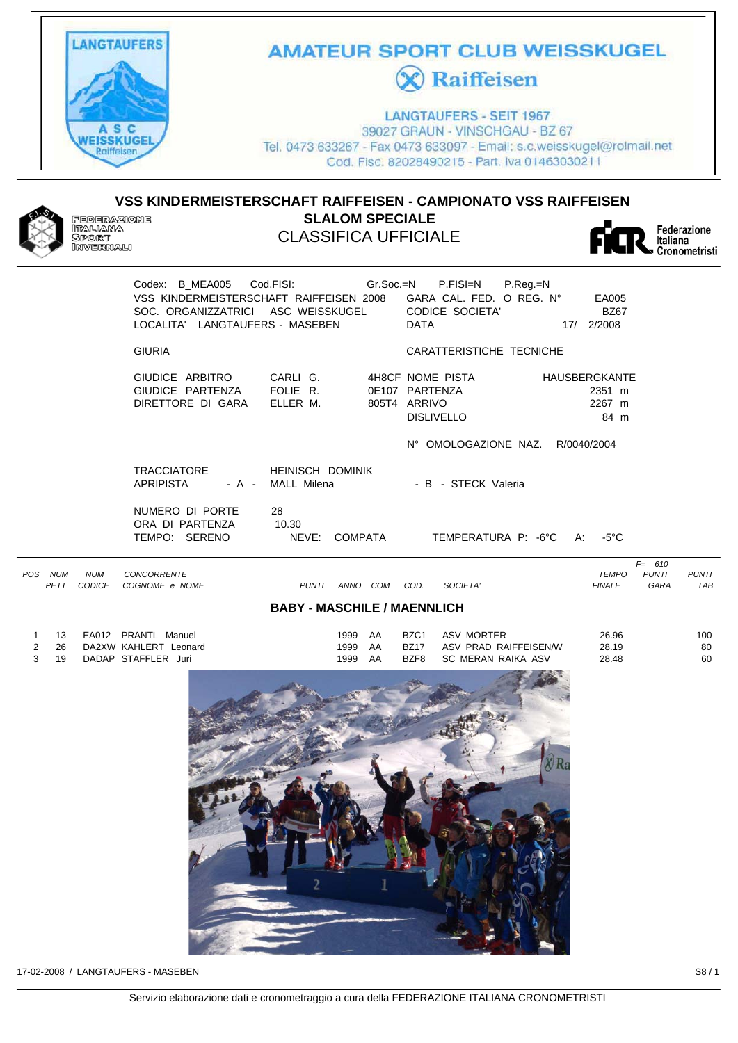

### **AMATEUR SPORT CLUB WEISSKUGEL C** Raiffeisen

**LANGTAUFERS - SEIT 1967** 39027 GRAUN - VINSCHGAU - BZ 67 Tel. 0473 633267 - Fax 0473 633097 - Email: s.c.weisskugel@rolmail.net Cod. Fisc. 82028490215 - Part. Iva 01463030211

### **VSS KINDERMEISTERSCHAFT RAIFFEISEN - CAMPIONATO VSS RAIFFEISEN**  Federazione<br>Italiana<br>Sport<br>Invernali **SLALOM SPECIALE** CLASSIFICA UFFICIALE



Federazione Italiana ...........<br>Cronometristi

|                                                           |                                                                                                                                                         |                                        |                                                                                    | <b>VIVIIVIIIEUISI</b>                                                                            |
|-----------------------------------------------------------|---------------------------------------------------------------------------------------------------------------------------------------------------------|----------------------------------------|------------------------------------------------------------------------------------|--------------------------------------------------------------------------------------------------|
|                                                           | Codex: B_MEA005 Cod.FISI: Gr.Soc.=N<br>VSS KINDERMEISTERSCHAFT RAIFFEISEN 2008<br>SOC. ORGANIZZATRICI ASC WEISSKUGEL<br>LOCALITA' LANGTAUFERS - MASEBEN |                                        | P.FISI=N<br>P.Reg.=N<br>GARA CAL. FED. O REG. Nº<br><b>CODICE SOCIETA'</b><br>DATA | EA005<br><b>BZ67</b><br>17/ 2/2008                                                               |
|                                                           | <b>GIURIA</b>                                                                                                                                           |                                        | CARATTERISTICHE TECNICHE                                                           |                                                                                                  |
|                                                           | GIUDICE ARBITRO<br>GIUDICE PARTENZA<br>DIRETTORE DI GARA                                                                                                | CARLI G.<br>FOLIE R.<br>ELLER M.       | 4H8CF NOME PISTA<br>0E107 PARTENZA<br>805T4 ARRIVO<br><b>DISLIVELLO</b>            | <b>HAUSBERGKANTE</b><br>2351 m<br>2267 m<br>84 m                                                 |
|                                                           |                                                                                                                                                         |                                        | N° OMOLOGAZIONE NAZ.                                                               | R/0040/2004                                                                                      |
|                                                           | <b>TRACCIATORE</b><br>APRIPISTA<br>- A -                                                                                                                | <b>HEINISCH DOMINIK</b><br>MALL Milena | - B - STECK Valeria                                                                |                                                                                                  |
|                                                           | NUMERO DI PORTE<br>ORA DI PARTENZA<br>TEMPO: SERENO                                                                                                     | 28<br>10.30<br>NEVE:<br><b>COMPATA</b> | TEMPERATURA P: -6°C                                                                | -5°C<br>A:                                                                                       |
| POS.<br><b>NUM</b><br><b>NUM</b><br><b>CODICE</b><br>PETT | <b>CONCORRENTE</b><br>COGNOME e NOME                                                                                                                    | ANNO COM<br><b>PUNTI</b>               | COD.<br>SOCIETA'                                                                   | $F = 610$<br><b>TEMPO</b><br><b>PUNTI</b><br><b>PUNTI</b><br><b>TAB</b><br><b>FINALE</b><br>GARA |

#### **BABY - MASCHILE / MAENNLICH**

| - 13 | EA012 PRANTL Manuel   | 1999 AA |    | BZC1 | ASV MORTER            | 26.96 | 100 |
|------|-----------------------|---------|----|------|-----------------------|-------|-----|
| 2 26 | DA2XW KAHLERT Leonard | 1999 AA |    | BZ17 | ASV PRAD RAIFFEISEN/W | 28.19 | 80  |
| 3 19 | DADAP STAFFLER Juri   | 1999    | AA | BZF8 | SC MERAN RAIKA ASV    | 28.48 | 60  |

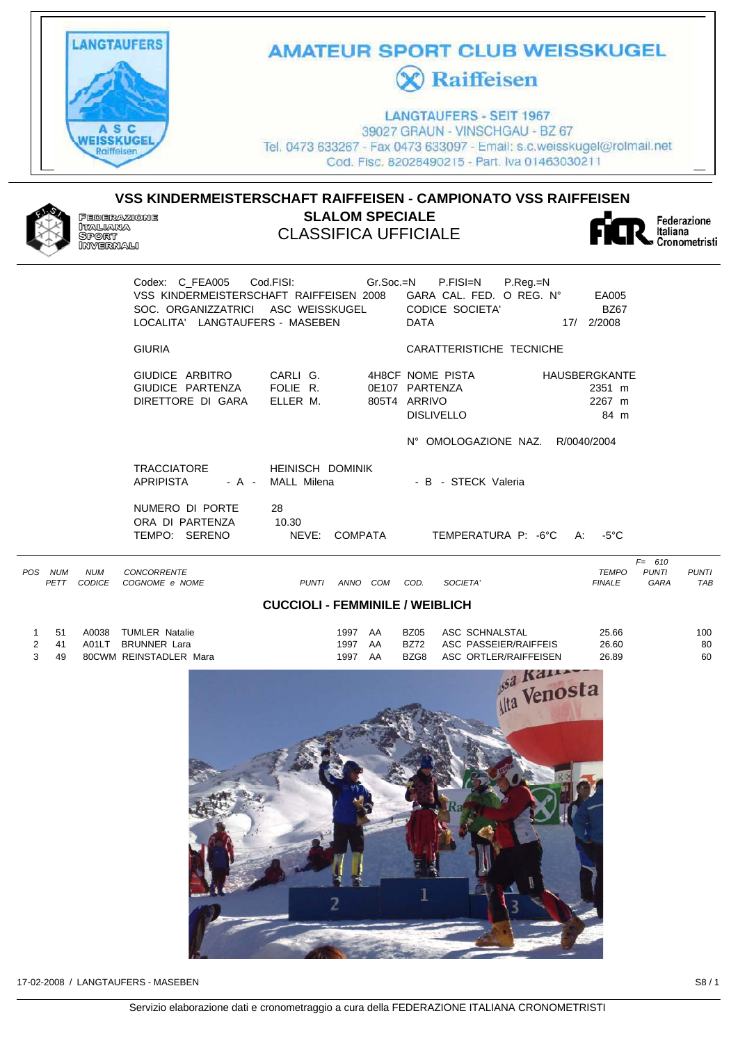

# **AMATEUR SPORT CLUB WEISSKUGEL X** Raiffeisen

**LANGTAUFERS - SEIT 1967** 39027 GRAUN - VINSCHGAU - BZ 67 Tel. 0473 633267 - Fax 0473 633097 - Email: s.c.weisskugel@rolmail.net Cod. Fisc. 82028490215 - Part. Iva 01463030211

**VSS KINDERMEISTERSCHAFT RAIFFEISEN - CAMPIONATO VSS RAIFFEISEN SLALOM SPECIALE FEDERAZIONE** leberxxx<br>Italiana CLASSIFICA UFFICIALE i dagelara<br>Sport<br>Invernali

Federazione<br>Italiana Cronometristi

| LOCALITA' LANGTAUFERS - MASEBEN                                            | Codex: C_FEA005    Cod.FISI:    Gr.Soc.=N    P.FISI=N<br>SOC. ORGANIZZATRICI ASC WEISSKUGEL | $P_{\cdot}$ Reg $_{\cdot}$ =N<br>VSS KINDERMEISTERSCHAFT RAIFFEISEN 2008 GARA CAL. FED. O REG. N°<br><b>CODICE SOCIETA'</b><br><b>DATA</b> | EA005<br><b>BZ67</b><br>17/ 2/2008        |
|----------------------------------------------------------------------------|---------------------------------------------------------------------------------------------|--------------------------------------------------------------------------------------------------------------------------------------------|-------------------------------------------|
| <b>GIURIA</b>                                                              |                                                                                             | CARATTERISTICHE TECNICHE                                                                                                                   |                                           |
| GIUDICE ARBITRO CARLI G.<br>GIUDICE PARTENZA<br>DIRETTORE DI GARA ELLER M. | FOLIE R.                                                                                    | 4H8CF NOME PISTA<br>0E107 PARTENZA<br>805T4 ARRIVO<br><b>DISLIVELLO</b><br>N° OMOLOGAZIONE NAZ. R/0040/2004                                | HAUSBERGKANTE<br>2351 m<br>2267 m<br>84 m |
| <b>TRACCIATORE</b><br><b>APRIPISTA</b>                                     | <b>HEINISCH DOMINIK</b><br>- A - MALL Milena                                                | - B - STECK Valeria                                                                                                                        |                                           |
| NUMERO DI PORTE<br>ORA DI PARTENZA<br>TEMPO: SERENO                        | 28<br>10.30<br>NEVE:<br>COMPATA                                                             | TEMPERATURA P: -6°C                                                                                                                        | -5°C<br>A:                                |
|                                                                            |                                                                                             |                                                                                                                                            |                                           |

| POS | <b>NUM</b><br>PETT | <b>NUM</b><br><b>CODICE</b> | <b>CONCORRENTE</b><br>COGNOME e NOME | <b>PUNTI</b>                           | ANNO | COM | COD.        | SOCIETA'               | <b>TEMPO</b><br><b>FINALE</b> | $F = 610$<br><b>PUNTI</b><br>GARA | PUNTI<br><b>TAB</b> |
|-----|--------------------|-----------------------------|--------------------------------------|----------------------------------------|------|-----|-------------|------------------------|-------------------------------|-----------------------------------|---------------------|
|     |                    |                             |                                      | <b>CUCCIOLI - FEMMINILE / WEIBLICH</b> |      |     |             |                        |                               |                                   |                     |
|     | 51                 | A0038                       | <b>TUMLER Natalie</b>                |                                        | 1997 | AA  | <b>BZ05</b> | ASC SCHNALSTAL         | 25.66                         |                                   | 100                 |
|     | -41                | A01LT                       | <b>BRUNNER Lara</b>                  |                                        | 1997 | AA  | <b>BZ72</b> | ASC PASSEIER/RAIFFEIS  | 26.60                         |                                   | 80                  |
|     | 49                 |                             | <b>80CWM REINSTADLER Mara</b>        |                                        | 1997 | ΔΔ  | RZG8        | ASC, ORTLER/RAIFFFISEN | 26.89                         |                                   | 60                  |